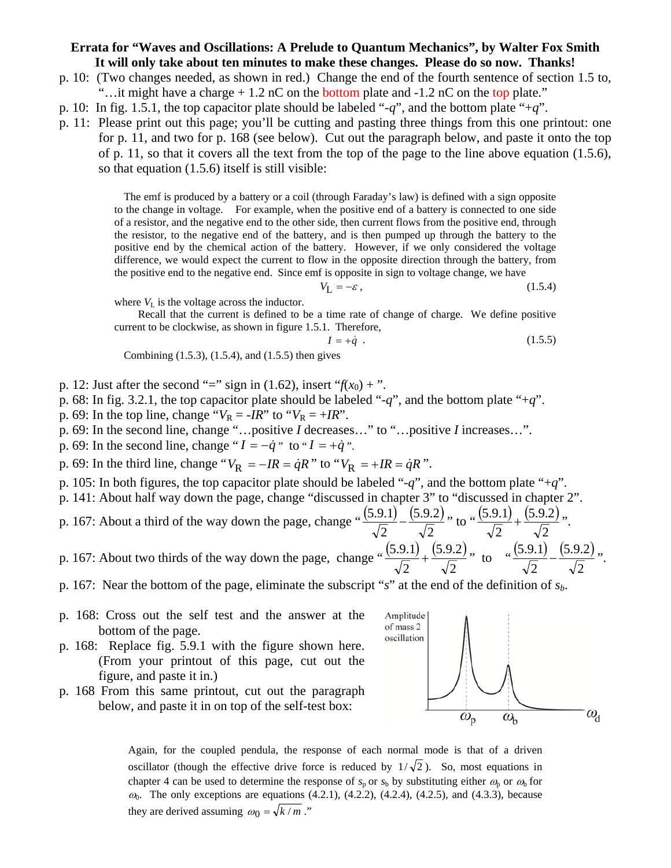## **Errata for "Waves and Oscillations: A Prelude to Quantum Mechanics", by Walter Fox Smith It will only take about ten minutes to make these changes. Please do so now. Thanks!**

- p. 10: (Two changes needed, as shown in red.) Change the end of the fourth sentence of section 1.5 to, "...it might have a charge  $+1.2$  nC on the bottom plate and  $-1.2$  nC on the top plate."
- p. 10: In fig. 1.5.1, the top capacitor plate should be labeled "-*q*", and the bottom plate "+*q*".
- p. 11: Please print out this page; you'll be cutting and pasting three things from this one printout: one for p. 11, and two for p. 168 (see below). Cut out the paragraph below, and paste it onto the top of p. 11, so that it covers all the text from the top of the page to the line above equation (1.5.6), so that equation (1.5.6) itself is still visible:

The emf is produced by a battery or a coil (through Faraday's law) is defined with a sign opposite to the change in voltage. For example, when the positive end of a battery is connected to one side of a resistor, and the negative end to the other side, then current flows from the positive end, through the resistor, to the negative end of the battery, and is then pumped up through the battery to the positive end by the chemical action of the battery. However, if we only considered the voltage difference, we would expect the current to flow in the opposite direction through the battery, from the positive end to the negative end. Since emf is opposite in sign to voltage change, we have

$$
V_{\mathbf{L}} = -\varepsilon \,,\tag{1.5.4}
$$

where  $V<sub>L</sub>$  is the voltage across the inductor.

 Recall that the current is defined to be a time rate of change of charge. We define positive current to be clockwise, as shown in figure 1.5.1. Therefore,

$$
I = +\dot{q} \tag{1.5.5}
$$

Combining (1.5.3), (1.5.4), and (1.5.5) then gives

- p. 12: Just after the second "=" sign in (1.62), insert " $f(x_0) +$ ".
- p. 68: In fig. 3.2.1, the top capacitor plate should be labeled "-*q*", and the bottom plate "+*q*".
- p. 69: In the top line, change " $V_R = -IR$ " to " $V_R = +IR$ ".
- p. 69: In the second line, change "…positive *I* decreases…" to "…positive *I* increases…".
- p. 69: In the second line, change " $I = -\dot{q}$ " to " $I = +\dot{q}$ ".
- p. 69: In the third line, change " $V_R = -IR = \dot{q}R$ " to " $V_R = +IR = \dot{q}R$ ".
- p. 105: In both figures, the top capacitor plate should be labeled "-*q*", and the bottom plate "+*q*".

p. 141: About half way down the page, change "discussed in chapter 3" to "discussed in chapter 2".

- p. 167: About a third of the way down the page, change " $\frac{(5.9.1)}{\sqrt{2}} \frac{(5.9.2)}{\sqrt{2}}$ 2 5.9.2 2  $\frac{(5.9.1)}{2} - \frac{(5.9.2)}{2}$ , to  $\frac{(5.9.1)}{2} + \frac{(5.9.2)}{2}$ 2 5.9.2 2  $\frac{(5.9.1)}{2} + \frac{(5.9.2)}{2}$ p. 167: About two thirds of the way down the page, change " $\frac{(5.9.1)}{\sqrt{2}} + \frac{(5.9.2)}{\sqrt{2}}$ 5.9.2  $\frac{(5.9.1)}{2} + \frac{(5.9.2)}{2}$ , to  $\frac{(5.9.1)}{2} - \frac{(5.9.2)}{2}$ 5.9.2  $\frac{(5.9.1)}{2} - \frac{(5.9.2)}{2}$
- 2 2
- p. 167: Near the bottom of the page, eliminate the subscript "*s*" at the end of the definition of *sb*.
- p. 168: Cross out the self test and the answer at the bottom of the page.
- p. 168: Replace fig. 5.9.1 with the figure shown here. (From your printout of this page, cut out the figure, and paste it in.)
- p. 168 From this same printout, cut out the paragraph below, and paste it in on top of the self-test box:



2

2

Again, for the coupled pendula, the response of each normal mode is that of a driven oscillator (though the effective drive force is reduced by  $1/\sqrt{2}$ ). So, most equations in chapter 4 can be used to determine the response of  $s_p$  or  $s_b$  by substituting either  $\omega_p$  or  $\omega_p$  for  $a_0$ . The only exceptions are equations (4.2.1), (4.2.2), (4.2.4), (4.2.5), and (4.3.3), because they are derived assuming  $\omega_0 = \sqrt{k/m}$ ."